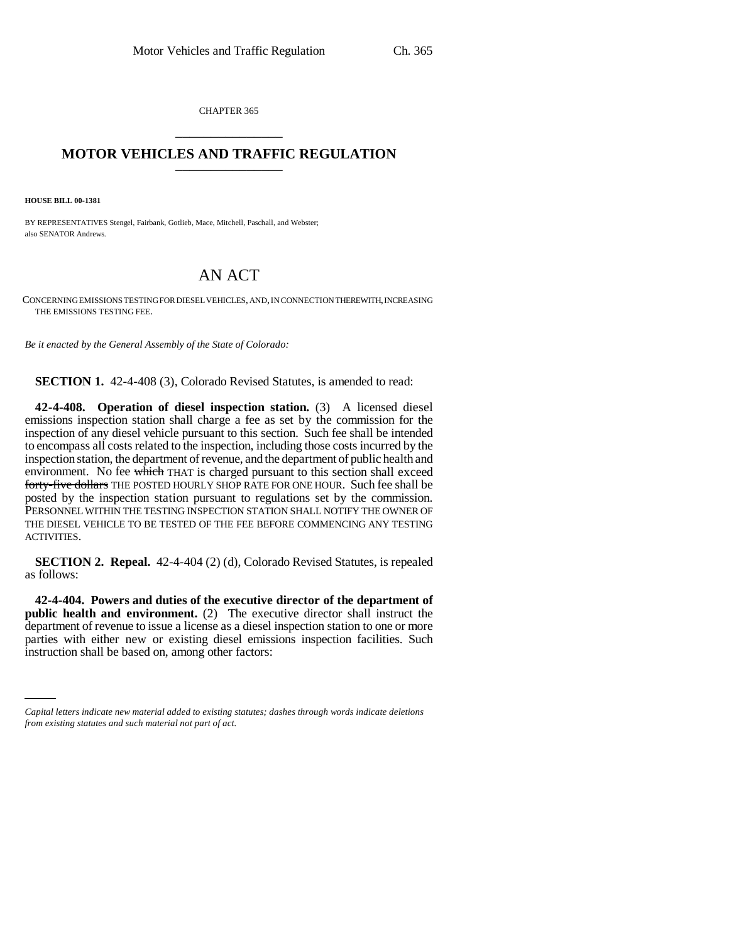CHAPTER 365 \_\_\_\_\_\_\_\_\_\_\_\_\_\_\_

## **MOTOR VEHICLES AND TRAFFIC REGULATION** \_\_\_\_\_\_\_\_\_\_\_\_\_\_\_

**HOUSE BILL 00-1381** 

BY REPRESENTATIVES Stengel, Fairbank, Gotlieb, Mace, Mitchell, Paschall, and Webster; also SENATOR Andrews.

## AN ACT

CONCERNING EMISSIONS TESTING FOR DIESEL VEHICLES, AND, IN CONNECTION THEREWITH, INCREASING THE EMISSIONS TESTING FEE.

*Be it enacted by the General Assembly of the State of Colorado:*

**SECTION 1.** 42-4-408 (3), Colorado Revised Statutes, is amended to read:

**42-4-408. Operation of diesel inspection station.** (3) A licensed diesel emissions inspection station shall charge a fee as set by the commission for the inspection of any diesel vehicle pursuant to this section. Such fee shall be intended to encompass all costs related to the inspection, including those costs incurred by the inspection station, the department of revenue, and the department of public health and environment. No fee which THAT is charged pursuant to this section shall exceed forty-five dollars THE POSTED HOURLY SHOP RATE FOR ONE HOUR. Such fee shall be posted by the inspection station pursuant to regulations set by the commission. PERSONNEL WITHIN THE TESTING INSPECTION STATION SHALL NOTIFY THE OWNER OF THE DIESEL VEHICLE TO BE TESTED OF THE FEE BEFORE COMMENCING ANY TESTING ACTIVITIES.

**SECTION 2. Repeal.** 42-4-404 (2) (d), Colorado Revised Statutes, is repealed as follows:

parties with either new or existing diesel emissions inspection facilities. Such **42-4-404. Powers and duties of the executive director of the department of public health and environment.** (2) The executive director shall instruct the department of revenue to issue a license as a diesel inspection station to one or more instruction shall be based on, among other factors:

*Capital letters indicate new material added to existing statutes; dashes through words indicate deletions from existing statutes and such material not part of act.*